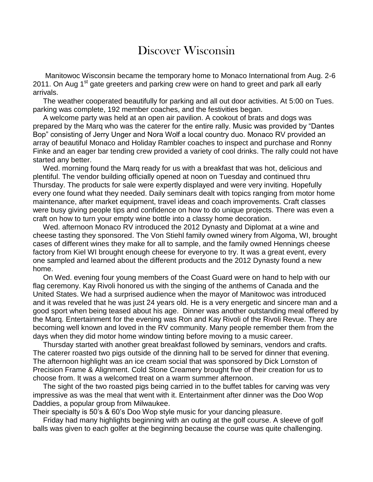## Discover Wisconsin

 Manitowoc Wisconsin became the temporary home to Monaco International from Aug. 2-6 2011. On Aug 1<sup>st</sup> gate greeters and parking crew were on hand to greet and park all early arrivals.

 The weather cooperated beautifully for parking and all out door activities. At 5:00 on Tues. parking was complete, 192 member coaches, and the festivities began.

 A welcome party was held at an open air pavilion. A cookout of brats and dogs was prepared by the Marq who was the caterer for the entire rally. Music was provided by "Dantes Bop" consisting of Jerry Unger and Nora Wolf a local country duo. Monaco RV provided an array of beautiful Monaco and Holiday Rambler coaches to inspect and purchase and Ronny Finke and an eager bar tending crew provided a variety of cool drinks. The rally could not have started any better.

 Wed. morning found the Marq ready for us with a breakfast that was hot, delicious and plentiful. The vendor building officially opened at noon on Tuesday and continued thru Thursday. The products for sale were expertly displayed and were very inviting. Hopefully every one found what they needed. Daily seminars dealt with topics ranging from motor home maintenance, after market equipment, travel ideas and coach improvements. Craft classes were busy giving people tips and confidence on how to do unique projects. There was even a craft on how to turn your empty wine bottle into a classy home decoration.

 Wed. afternoon Monaco RV introduced the 2012 Dynasty and Diplomat at a wine and cheese tasting they sponsored. The Von Stiehl family owned winery from Algoma, WI, brought cases of different wines they make for all to sample, and the family owned Hennings cheese factory from Kiel WI brought enough cheese for everyone to try. It was a great event, every one sampled and learned about the different products and the 2012 Dynasty found a new home.

 On Wed. evening four young members of the Coast Guard were on hand to help with our flag ceremony. Kay Rivoli honored us with the singing of the anthems of Canada and the United States. We had a surprised audience when the mayor of Manitowoc was introduced and it was reveled that he was just 24 years old. He is a very energetic and sincere man and a good sport when being teased about his age. Dinner was another outstanding meal offered by the Marq. Entertainment for the evening was Ron and Kay Rivoli of the Rivoli Revue. They are becoming well known and loved in the RV community. Many people remember them from the days when they did motor home window tinting before moving to a music career.

 Thursday started with another great breakfast followed by seminars, vendors and crafts. The caterer roasted two pigs outside of the dinning hall to be served for dinner that evening. The afternoon highlight was an ice cream social that was sponsored by Dick Lornston of Precision Frame & Alignment. Cold Stone Creamery brought five of their creation for us to choose from. It was a welcomed treat on a warm summer afternoon.

 The sight of the two roasted pigs being carried in to the buffet tables for carving was very impressive as was the meal that went with it. Entertainment after dinner was the Doo Wop Daddies, a popular group from Milwaukee.

Their specialty is 50's & 60's Doo Wop style music for your dancing pleasure.

 Friday had many highlights beginning with an outing at the golf course. A sleeve of golf balls was given to each golfer at the beginning because the course was quite challenging.